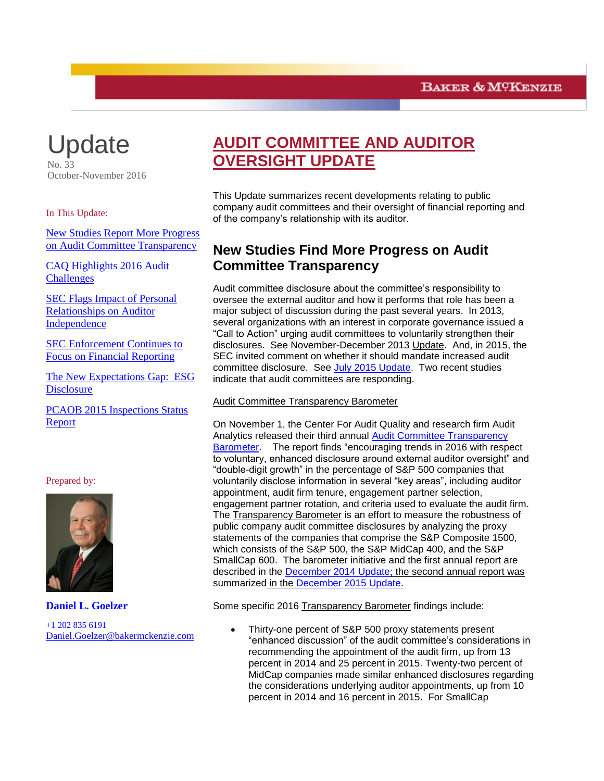

In This Update:

<span id="page-0-0"></span>[New Studies Report More Progress](#page-0-0)  [on Audit Committee Transparency](#page-0-0)

[CAQ Highlights 2016 Audit](#page-2-0)  **[Challenges](#page-2-0)** 

[SEC Flags Impact of Personal](#page-4-0)  [Relationships on Auditor](#page-4-0)  **[Independence](#page-4-0)** 

[SEC Enforcement Continues to](#page-7-0)  [Focus on Financial Reporting](#page-7-0)

[The New Expectations Gap: ESG](#page-8-0)  **[Disclosure](#page-8-0)** 

[PCAOB 2015 Inspections Status](#page-10-0)  [Report](#page-10-0)

### Prepared by:



**Daniel L. Goelzer** +1 202 835 6191 [Daniel.Goelzer@bakermckenzie.com](mailto:Daniel.Goelzer@bakermckenzie.com)

# **AUDIT COMMITTEE AND AUDITOR OVERSIGHT UPDATE**

This Update summarizes recent developments relating to public company audit committees and their oversight of financial reporting and of the company's relationship with its auditor.

## **New Studies Find More Progress on Audit Committee Transparency**

Audit committee disclosure about the committee's responsibility to oversee the external auditor and how it performs that role has been a major subject of discussion during the past several years. In 2013, several organizations with an interest in corporate governance issued a "Call to Action" urging audit committees to voluntarily strengthen their disclosures. See November-December 2013 Update. And, in 2015, the SEC invited comment on whether it should mandate increased audit committee disclosure. See [July 2015 Update.](http://www.bakermckenzie.com/-/media/files/insight/publications/2015/07/july-audit/nl_washingtondc_auditupdate22_jul15.pdf?la=en) Two recent studies indicate that audit committees are responding.

### Audit Committee Transparency Barometer

On November 1, the Center For Audit Quality and research firm Audit Analytics released their third annual [Audit Committee Transparency](http://www.thecaq.org/2016-audit-committee-transparency-barometer)  [Barometer.](http://www.thecaq.org/2016-audit-committee-transparency-barometer) The report finds "encouraging trends in 2016 with respect to voluntary, enhanced disclosure around external auditor oversight" and "double-digit growth" in the percentage of S&P 500 companies that voluntarily disclose information in several "key areas", including auditor appointment, audit firm tenure, engagement partner selection, engagement partner rotation, and criteria used to evaluate the audit firm. The Transparency Barometer is an effort to measure the robustness of public company audit committee disclosures by analyzing the proxy statements of the companies that comprise the S&P Composite 1500, which consists of the S&P 500, the S&P MidCap 400, and the S&P SmallCap 600. The barometer initiative and the first annual report are described in the [December 2014 Update;](http://www.bakermckenzie.com/files/Publication/80219f61-774e-4406-904c-9bf6d4e95f34/Presentation/PublicationAttachment/f455b247-a3fb-42f7-85df-a1bafb8724b6/al_bf_auditcommitteeupdate_dec14.pdf) the second annual report was summarized in the [December 2015 Update.](http://www.bakermckenzie.com/-/media/files/insight/publications/2015/12/audit-committee/nl_washington_auditupdate_dec15.pdf?la=en)

Some specific 2016 Transparency Barometer findings include:

 Thirty-one percent of S&P 500 proxy statements present "enhanced discussion" of the audit committee's considerations in recommending the appointment of the audit firm, up from 13 percent in 2014 and 25 percent in 2015. Twenty-two percent of MidCap companies made similar enhanced disclosures regarding the considerations underlying auditor appointments, up from 10 percent in 2014 and 16 percent in 2015. For SmallCap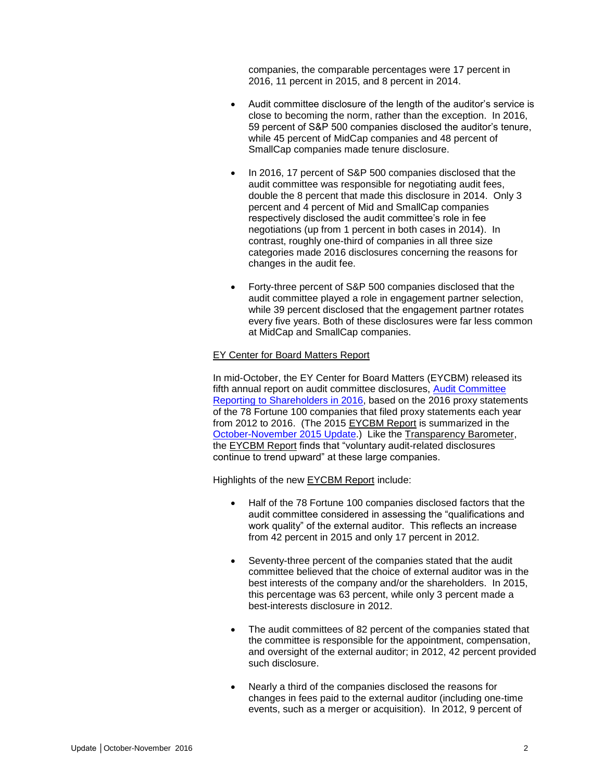companies, the comparable percentages were 17 percent in 2016, 11 percent in 2015, and 8 percent in 2014.

- Audit committee disclosure of the length of the auditor's service is close to becoming the norm, rather than the exception. In 2016, 59 percent of S&P 500 companies disclosed the auditor's tenure, while 45 percent of MidCap companies and 48 percent of SmallCap companies made tenure disclosure.
- In 2016, 17 percent of S&P 500 companies disclosed that the audit committee was responsible for negotiating audit fees, double the 8 percent that made this disclosure in 2014. Only 3 percent and 4 percent of Mid and SmallCap companies respectively disclosed the audit committee's role in fee negotiations (up from 1 percent in both cases in 2014). In contrast, roughly one-third of companies in all three size categories made 2016 disclosures concerning the reasons for changes in the audit fee.
- Forty-three percent of S&P 500 companies disclosed that the audit committee played a role in engagement partner selection, while 39 percent disclosed that the engagement partner rotates every five years. Both of these disclosures were far less common at MidCap and SmallCap companies.

### EY Center for Board Matters Report

In mid-October, the EY Center for Board Matters (EYCBM) released its fifth annual report on audit committee disclosures, [Audit Committee](http://www.ey.com/gl/en/issues/governance-and-reporting/ey-audit-committee-reporting-to-shareholders-in-2016)  [Reporting to Shareholders in 2016,](http://www.ey.com/gl/en/issues/governance-and-reporting/ey-audit-committee-reporting-to-shareholders-in-2016) based on the 2016 proxy statements of the 78 Fortune 100 companies that filed proxy statements each year from 2012 to 2016. (The 2015 EYCBM Report is summarized in the [October-November 2015 Update.](http://www.bakermckenzie.com/-/media/files/insight/publications/2015/11/audit-committee-and-auditor/nl_na_auditcommitteeupdate_nov15.pdf?la=en)) Like the Transparency Barometer, the EYCBM Report finds that "voluntary audit-related disclosures continue to trend upward" at these large companies.

Highlights of the new EYCBM Report include:

- Half of the 78 Fortune 100 companies disclosed factors that the audit committee considered in assessing the "qualifications and work quality" of the external auditor. This reflects an increase from 42 percent in 2015 and only 17 percent in 2012.
- Seventy-three percent of the companies stated that the audit committee believed that the choice of external auditor was in the best interests of the company and/or the shareholders. In 2015, this percentage was 63 percent, while only 3 percent made a best-interests disclosure in 2012.
- The audit committees of 82 percent of the companies stated that the committee is responsible for the appointment, compensation, and oversight of the external auditor; in 2012, 42 percent provided such disclosure.
- Nearly a third of the companies disclosed the reasons for changes in fees paid to the external auditor (including one-time events, such as a merger or acquisition). In 2012, 9 percent of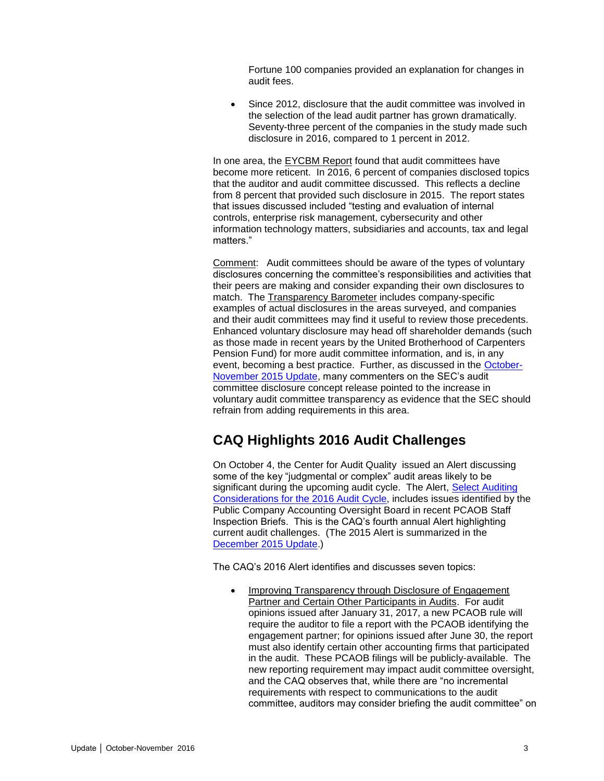Fortune 100 companies provided an explanation for changes in audit fees.

 Since 2012, disclosure that the audit committee was involved in the selection of the lead audit partner has grown dramatically. Seventy-three percent of the companies in the study made such disclosure in 2016, compared to 1 percent in 2012.

In one area, the EYCBM Report found that audit committees have become more reticent. In 2016, 6 percent of companies disclosed topics that the auditor and audit committee discussed. This reflects a decline from 8 percent that provided such disclosure in 2015. The report states that issues discussed included "testing and evaluation of internal controls, enterprise risk management, cybersecurity and other information technology matters, subsidiaries and accounts, tax and legal matters."

Comment: Audit committees should be aware of the types of voluntary disclosures concerning the committee's responsibilities and activities that their peers are making and consider expanding their own disclosures to match. The Transparency Barometer includes company-specific examples of actual disclosures in the areas surveyed, and companies and their audit committees may find it useful to review those precedents. Enhanced voluntary disclosure may head off shareholder demands (such as those made in recent years by the United Brotherhood of Carpenters Pension Fund) for more audit committee information, and is, in any event, becoming a best practice. Further, as discussed in the [October-](http://www.bakermckenzie.com/-/media/files/insight/publications/2015/11/audit-committee-and-auditor/nl_na_auditcommitteeupdate_nov15.pdf?la=en)[November 2015 Update,](http://www.bakermckenzie.com/-/media/files/insight/publications/2015/11/audit-committee-and-auditor/nl_na_auditcommitteeupdate_nov15.pdf?la=en) many commenters on the SEC's audit committee disclosure concept release pointed to the increase in voluntary audit committee transparency as evidence that the SEC should refrain from adding requirements in this area.

# <span id="page-2-0"></span>**CAQ Highlights 2016 Audit Challenges**

On October 4, the Center for Audit Quality issued an Alert discussing some of the key "judgmental or complex" audit areas likely to be significant during the upcoming audit cycle. The Alert, Select Auditing [Considerations for the 2016 Audit Cycle,](http://www.thecaq.org/caq-alert-2016-01-select-auditing-considerations-2016-audit-cycle) includes issues identified by the Public Company Accounting Oversight Board in recent PCAOB Staff Inspection Briefs. This is the CAQ's fourth annual Alert highlighting current audit challenges. (The 2015 Alert is summarized in the [December 2015 Update.](http://www.bakermckenzie.com/-/media/files/insight/publications/2015/12/audit-committee/nl_washington_auditupdate_dec15.pdf?la=en))

The CAQ's 2016 Alert identifies and discusses seven topics:

 Improving Transparency through Disclosure of Engagement Partner and Certain Other Participants in Audits. For audit opinions issued after January 31, 2017, a new PCAOB rule will require the auditor to file a report with the PCAOB identifying the engagement partner; for opinions issued after June 30, the report must also identify certain other accounting firms that participated in the audit. These PCAOB filings will be publicly-available. The new reporting requirement may impact audit committee oversight, and the CAQ observes that, while there are "no incremental requirements with respect to communications to the audit committee, auditors may consider briefing the audit committee" on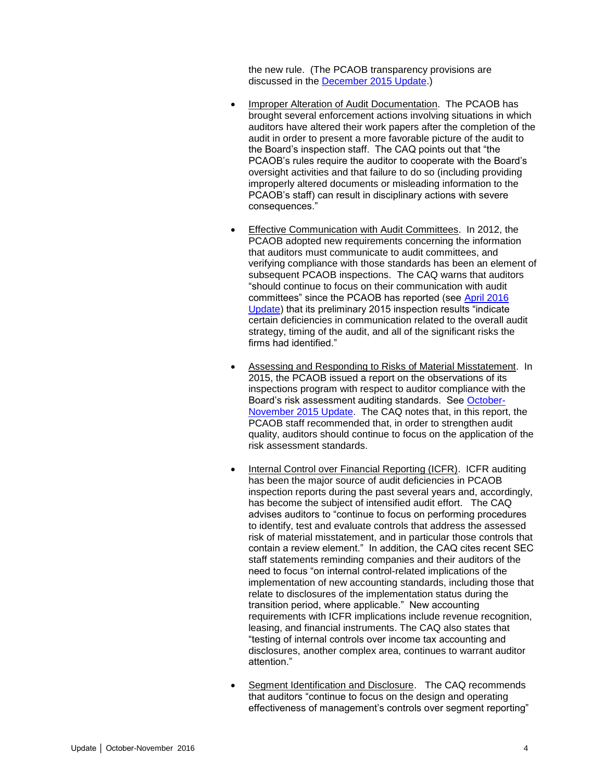the new rule. (The PCAOB transparency provisions are discussed in the [December 2015 Update.](http://www.bakermckenzie.com/-/media/files/insight/publications/2015/12/audit-committee/nl_washington_auditupdate_dec15.pdf?la=en))

- Improper Alteration of Audit Documentation. The PCAOB has brought several enforcement actions involving situations in which auditors have altered their work papers after the completion of the audit in order to present a more favorable picture of the audit to the Board's inspection staff. The CAQ points out that "the PCAOB's rules require the auditor to cooperate with the Board's oversight activities and that failure to do so (including providing improperly altered documents or misleading information to the PCAOB's staff) can result in disciplinary actions with severe consequences."
- Effective Communication with Audit Committees. In 2012, the PCAOB adopted new requirements concerning the information that auditors must communicate to audit committees, and verifying compliance with those standards has been an element of subsequent PCAOB inspections. The CAQ warns that auditors "should continue to focus on their communication with audit committees" since the PCAOB has reported (see [April 2016](http://www.bakermckenzie.com/-/media/files/insight/publications/2016/04/audit-committee-and-auditor-oversight-update/nl_na_auditupdate_apr16.pdf?la=en)  [Update\)](http://www.bakermckenzie.com/-/media/files/insight/publications/2016/04/audit-committee-and-auditor-oversight-update/nl_na_auditupdate_apr16.pdf?la=en) that its preliminary 2015 inspection results "indicate certain deficiencies in communication related to the overall audit strategy, timing of the audit, and all of the significant risks the firms had identified."
- Assessing and Responding to Risks of Material Misstatement. In 2015, the PCAOB issued a report on the observations of its inspections program with respect to auditor compliance with the Board's risk assessment auditing standards. See [October-](http://www.bakermckenzie.com/-/media/files/insight/publications/2015/11/audit-committee-and-auditor/nl_na_auditcommitteeupdate_nov15.pdf?la=en)[November 2015 Update.](http://www.bakermckenzie.com/-/media/files/insight/publications/2015/11/audit-committee-and-auditor/nl_na_auditcommitteeupdate_nov15.pdf?la=en) The CAQ notes that, in this report, the PCAOB staff recommended that, in order to strengthen audit quality, auditors should continue to focus on the application of the risk assessment standards.
- Internal Control over Financial Reporting (ICFR). ICFR auditing has been the major source of audit deficiencies in PCAOB inspection reports during the past several years and, accordingly, has become the subject of intensified audit effort. The CAQ advises auditors to "continue to focus on performing procedures to identify, test and evaluate controls that address the assessed risk of material misstatement, and in particular those controls that contain a review element." In addition, the CAQ cites recent SEC staff statements reminding companies and their auditors of the need to focus "on internal control-related implications of the implementation of new accounting standards, including those that relate to disclosures of the implementation status during the transition period, where applicable." New accounting requirements with ICFR implications include revenue recognition, leasing, and financial instruments. The CAQ also states that "testing of internal controls over income tax accounting and disclosures, another complex area, continues to warrant auditor attention."
- Segment Identification and Disclosure. The CAQ recommends that auditors "continue to focus on the design and operating effectiveness of management's controls over segment reporting"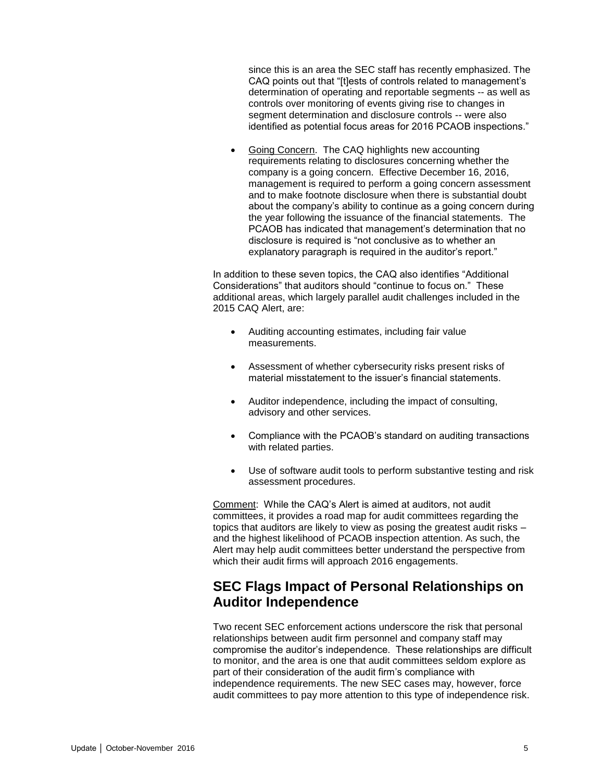since this is an area the SEC staff has recently emphasized. The CAQ points out that "[t]ests of controls related to management's determination of operating and reportable segments -- as well as controls over monitoring of events giving rise to changes in segment determination and disclosure controls -- were also identified as potential focus areas for 2016 PCAOB inspections."

 Going Concern. The CAQ highlights new accounting requirements relating to disclosures concerning whether the company is a going concern. Effective December 16, 2016, management is required to perform a going concern assessment and to make footnote disclosure when there is substantial doubt about the company's ability to continue as a going concern during the year following the issuance of the financial statements. The PCAOB has indicated that management's determination that no disclosure is required is "not conclusive as to whether an explanatory paragraph is required in the auditor's report."

In addition to these seven topics, the CAQ also identifies "Additional Considerations" that auditors should "continue to focus on." These additional areas, which largely parallel audit challenges included in the 2015 CAQ Alert, are:

- Auditing accounting estimates, including fair value measurements.
- Assessment of whether cybersecurity risks present risks of material misstatement to the issuer's financial statements.
- Auditor independence, including the impact of consulting, advisory and other services.
- Compliance with the PCAOB's standard on auditing transactions with related parties.
- Use of software audit tools to perform substantive testing and risk assessment procedures.

Comment: While the CAQ's Alert is aimed at auditors, not audit committees, it provides a road map for audit committees regarding the topics that auditors are likely to view as posing the greatest audit risks – and the highest likelihood of PCAOB inspection attention. As such, the Alert may help audit committees better understand the perspective from which their audit firms will approach 2016 engagements.

## <span id="page-4-0"></span>**SEC Flags Impact of Personal Relationships on Auditor Independence**

Two recent SEC enforcement actions underscore the risk that personal relationships between audit firm personnel and company staff may compromise the auditor's independence. These relationships are difficult to monitor, and the area is one that audit committees seldom explore as part of their consideration of the audit firm's compliance with independence requirements. The new SEC cases may, however, force audit committees to pay more attention to this type of independence risk.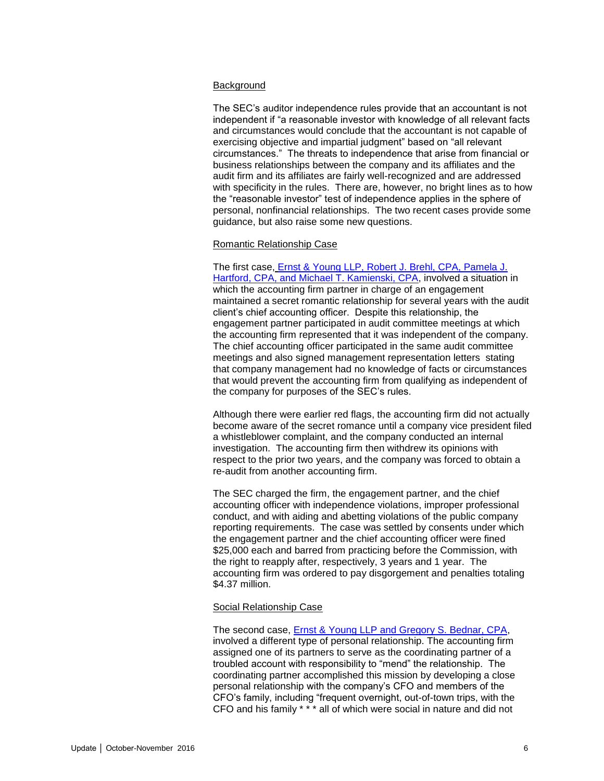#### **Background**

The SEC's auditor independence rules provide that an accountant is not independent if "a reasonable investor with knowledge of all relevant facts and circumstances would conclude that the accountant is not capable of exercising objective and impartial judgment" based on "all relevant circumstances." The threats to independence that arise from financial or business relationships between the company and its affiliates and the audit firm and its affiliates are fairly well-recognized and are addressed with specificity in the rules. There are, however, no bright lines as to how the "reasonable investor" test of independence applies in the sphere of personal, nonfinancial relationships. The two recent cases provide some guidance, but also raise some new questions.

#### Romantic Relationship Case

The first case, [Ernst & Young LLP, Robert J. Brehl, CPA, Pamela J.](https://www.sec.gov/litigation/admin/2016/34-78873.pdf?_ga=1.100803524.494301763.1455296730)  [Hartford, CPA, and Michael T. Kamienski, CPA,](https://www.sec.gov/litigation/admin/2016/34-78873.pdf?_ga=1.100803524.494301763.1455296730) involved a situation in which the accounting firm partner in charge of an engagement maintained a secret romantic relationship for several years with the audit client's chief accounting officer. Despite this relationship, the engagement partner participated in audit committee meetings at which the accounting firm represented that it was independent of the company. The chief accounting officer participated in the same audit committee meetings and also signed management representation letters stating that company management had no knowledge of facts or circumstances that would prevent the accounting firm from qualifying as independent of the company for purposes of the SEC's rules.

Although there were earlier red flags, the accounting firm did not actually become aware of the secret romance until a company vice president filed a whistleblower complaint, and the company conducted an internal investigation. The accounting firm then withdrew its opinions with respect to the prior two years, and the company was forced to obtain a re-audit from another accounting firm.

The SEC charged the firm, the engagement partner, and the chief accounting officer with independence violations, improper professional conduct, and with aiding and abetting violations of the public company reporting requirements. The case was settled by consents under which the engagement partner and the chief accounting officer were fined \$25,000 each and barred from practicing before the Commission, with the right to reapply after, respectively, 3 years and 1 year. The accounting firm was ordered to pay disgorgement and penalties totaling \$4.37 million.

#### Social Relationship Case

The second case, [Ernst & Young LLP and Gregory S. Bednar, CPA,](https://www.sec.gov/litigation/admin/2016/34-78872.pdf?_ga=1.199977067.494301763.1455296730) involved a different type of personal relationship. The accounting firm assigned one of its partners to serve as the coordinating partner of a troubled account with responsibility to "mend" the relationship. The coordinating partner accomplished this mission by developing a close personal relationship with the company's CFO and members of the CFO's family, including "frequent overnight, out-of-town trips, with the CFO and his family \* \* \* all of which were social in nature and did not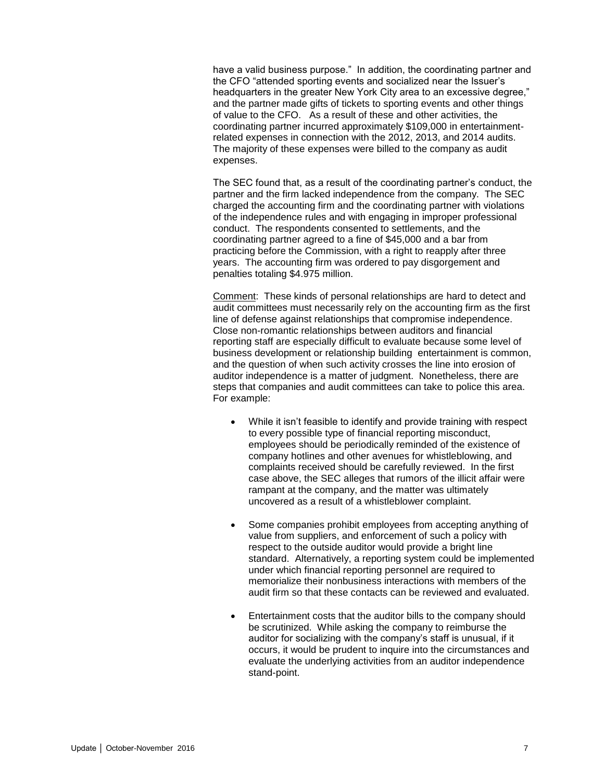have a valid business purpose." In addition, the coordinating partner and the CFO "attended sporting events and socialized near the Issuer's headquarters in the greater New York City area to an excessive degree," and the partner made gifts of tickets to sporting events and other things of value to the CFO. As a result of these and other activities, the coordinating partner incurred approximately \$109,000 in entertainmentrelated expenses in connection with the 2012, 2013, and 2014 audits. The majority of these expenses were billed to the company as audit expenses.

The SEC found that, as a result of the coordinating partner's conduct, the partner and the firm lacked independence from the company. The SEC charged the accounting firm and the coordinating partner with violations of the independence rules and with engaging in improper professional conduct. The respondents consented to settlements, and the coordinating partner agreed to a fine of \$45,000 and a bar from practicing before the Commission, with a right to reapply after three years. The accounting firm was ordered to pay disgorgement and penalties totaling \$4.975 million.

Comment: These kinds of personal relationships are hard to detect and audit committees must necessarily rely on the accounting firm as the first line of defense against relationships that compromise independence. Close non-romantic relationships between auditors and financial reporting staff are especially difficult to evaluate because some level of business development or relationship building entertainment is common, and the question of when such activity crosses the line into erosion of auditor independence is a matter of judgment. Nonetheless, there are steps that companies and audit committees can take to police this area. For example:

- While it isn't feasible to identify and provide training with respect to every possible type of financial reporting misconduct, employees should be periodically reminded of the existence of company hotlines and other avenues for whistleblowing, and complaints received should be carefully reviewed. In the first case above, the SEC alleges that rumors of the illicit affair were rampant at the company, and the matter was ultimately uncovered as a result of a whistleblower complaint.
- Some companies prohibit employees from accepting anything of value from suppliers, and enforcement of such a policy with respect to the outside auditor would provide a bright line standard. Alternatively, a reporting system could be implemented under which financial reporting personnel are required to memorialize their nonbusiness interactions with members of the audit firm so that these contacts can be reviewed and evaluated.
- Entertainment costs that the auditor bills to the company should be scrutinized. While asking the company to reimburse the auditor for socializing with the company's staff is unusual, if it occurs, it would be prudent to inquire into the circumstances and evaluate the underlying activities from an auditor independence stand-point.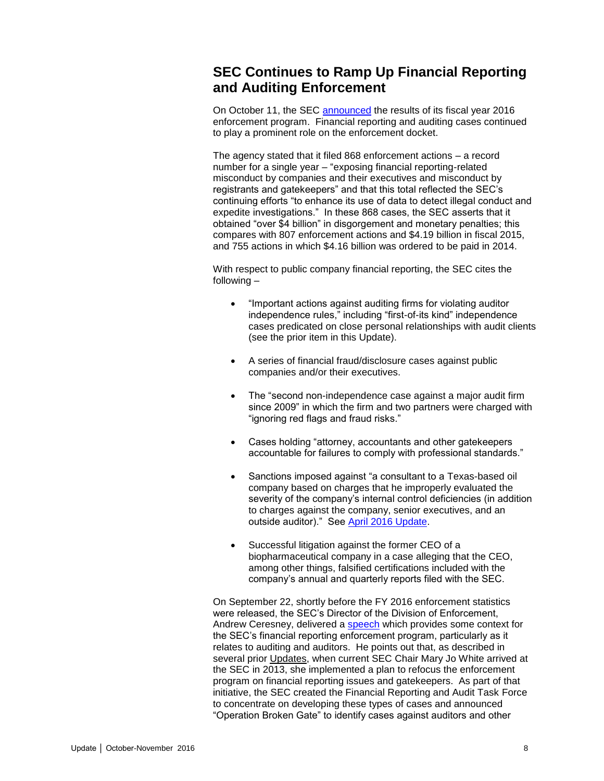## <span id="page-7-0"></span>**SEC Continues to Ramp Up Financial Reporting and Auditing Enforcement**

On October 11, the SEC [announced](https://www.sec.gov/news/pressrelease/2016-212.html) the results of its fiscal year 2016 enforcement program. Financial reporting and auditing cases continued to play a prominent role on the enforcement docket.

The agency stated that it filed 868 enforcement actions – a record number for a single year – "exposing financial reporting-related misconduct by companies and their executives and misconduct by registrants and gatekeepers" and that this total reflected the SEC's continuing efforts "to enhance its use of data to detect illegal conduct and expedite investigations." In these 868 cases, the SEC asserts that it obtained "over \$4 billion" in disgorgement and monetary penalties; this compares with 807 enforcement actions and \$4.19 billion in fiscal 2015, and 755 actions in which \$4.16 billion was ordered to be paid in 2014.

With respect to public company financial reporting, the SEC cites the following –

- "Important actions against auditing firms for violating auditor independence rules," including "first-of-its kind" independence cases predicated on close personal relationships with audit clients (see the prior item in this Update).
- A series of financial fraud/disclosure cases against public companies and/or their executives.
- The "second non-independence case against a major audit firm since 2009" in which the firm and two partners were charged with "ignoring red flags and fraud risks."
- Cases holding "attorney, accountants and other gatekeepers accountable for failures to comply with professional standards."
- Sanctions imposed against "a consultant to a Texas-based oil company based on charges that he improperly evaluated the severity of the company's internal control deficiencies (in addition to charges against the company, senior executives, and an outside auditor)." See [April 2016 Update.](http://www.bakermckenzie.com/-/media/files/insight/publications/2016/04/audit-committee-and-auditor-oversight-update/nl_na_auditupdate_apr16.pdf?la=en)
- Successful litigation against the former CEO of a biopharmaceutical company in a case alleging that the CEO, among other things, falsified certifications included with the company's annual and quarterly reports filed with the SEC.

On September 22, shortly before the FY 2016 enforcement statistics were released, the SEC's Director of the Division of Enforcement, Andrew Ceresney, delivered a [speech](https://www.sec.gov/news/speech/ceresney-enforcement-focus-on-auditors-and-auditing.html) which provides some context for the SEC's financial reporting enforcement program, particularly as it relates to auditing and auditors. He points out that, as described in several prior Updates, when current SEC Chair Mary Jo White arrived at the SEC in 2013, she implemented a plan to refocus the enforcement program on financial reporting issues and gatekeepers. As part of that initiative, the SEC created the Financial Reporting and Audit Task Force to concentrate on developing these types of cases and announced "Operation Broken Gate" to identify cases against auditors and other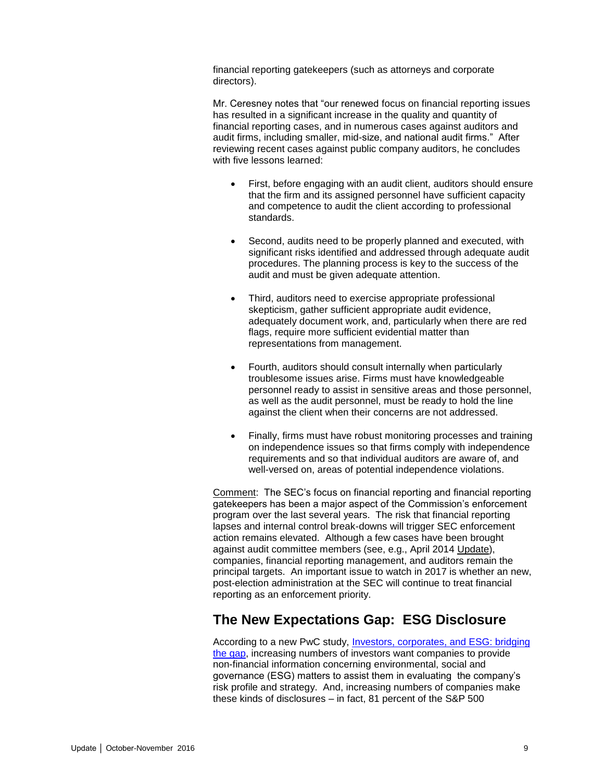financial reporting gatekeepers (such as attorneys and corporate directors).

Mr. Ceresney notes that "our renewed focus on financial reporting issues has resulted in a significant increase in the quality and quantity of financial reporting cases, and in numerous cases against auditors and audit firms, including smaller, mid-size, and national audit firms." After reviewing recent cases against public company auditors, he concludes with five lessons learned:

- First, before engaging with an audit client, auditors should ensure that the firm and its assigned personnel have sufficient capacity and competence to audit the client according to professional standards.
- Second, audits need to be properly planned and executed, with significant risks identified and addressed through adequate audit procedures. The planning process is key to the success of the audit and must be given adequate attention.
- Third, auditors need to exercise appropriate professional skepticism, gather sufficient appropriate audit evidence, adequately document work, and, particularly when there are red flags, require more sufficient evidential matter than representations from management.
- Fourth, auditors should consult internally when particularly troublesome issues arise. Firms must have knowledgeable personnel ready to assist in sensitive areas and those personnel, as well as the audit personnel, must be ready to hold the line against the client when their concerns are not addressed.
- Finally, firms must have robust monitoring processes and training on independence issues so that firms comply with independence requirements and so that individual auditors are aware of, and well-versed on, areas of potential independence violations.

Comment: The SEC's focus on financial reporting and financial reporting gatekeepers has been a major aspect of the Commission's enforcement program over the last several years. The risk that financial reporting lapses and internal control break-downs will trigger SEC enforcement action remains elevated. Although a few cases have been brought against audit committee members (see, e.g., April 2014 Update), companies, financial reporting management, and auditors remain the principal targets. An important issue to watch in 2017 is whether an new, post-election administration at the SEC will continue to treat financial reporting as an enforcement priority.

### <span id="page-8-0"></span>**The New Expectations Gap: ESG Disclosure**

According to a new PwC study, [Investors, corporates, and ESG: bridging](http://www.pwc.com/us/ESGpulse)  [the gap,](http://www.pwc.com/us/ESGpulse) increasing numbers of investors want companies to provide non-financial information concerning environmental, social and governance (ESG) matters to assist them in evaluating the company's risk profile and strategy. And, increasing numbers of companies make these kinds of disclosures – in fact, 81 percent of the S&P 500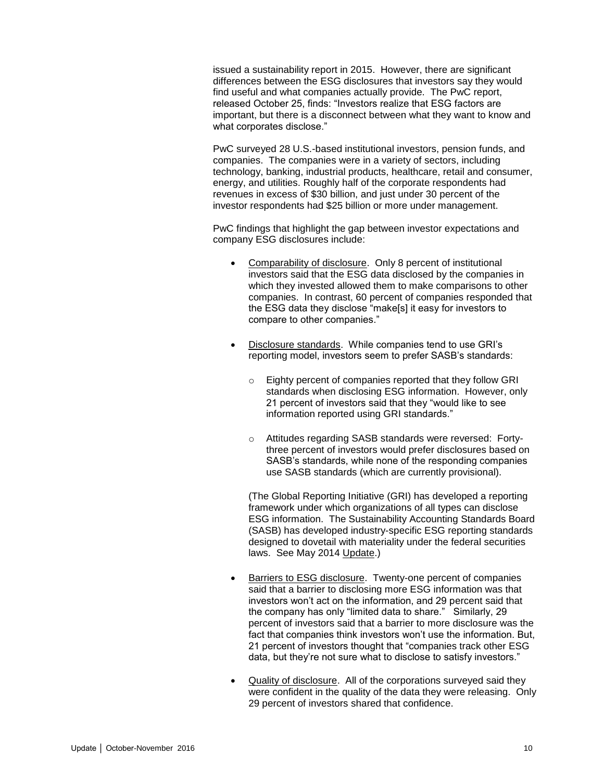issued a sustainability report in 2015. However, there are significant differences between the ESG disclosures that investors say they would find useful and what companies actually provide. The PwC report, released October 25, finds: "Investors realize that ESG factors are important, but there is a disconnect between what they want to know and what corporates disclose."

PwC surveyed 28 U.S.-based institutional investors, pension funds, and companies. The companies were in a variety of sectors, including technology, banking, industrial products, healthcare, retail and consumer, energy, and utilities. Roughly half of the corporate respondents had revenues in excess of \$30 billion, and just under 30 percent of the investor respondents had \$25 billion or more under management.

PwC findings that highlight the gap between investor expectations and company ESG disclosures include:

- Comparability of disclosure. Only 8 percent of institutional investors said that the ESG data disclosed by the companies in which they invested allowed them to make comparisons to other companies. In contrast, 60 percent of companies responded that the ESG data they disclose "make[s] it easy for investors to compare to other companies."
- Disclosure standards. While companies tend to use GRI's reporting model, investors seem to prefer SASB's standards:
	- o Eighty percent of companies reported that they follow GRI standards when disclosing ESG information. However, only 21 percent of investors said that they "would like to see information reported using GRI standards."
	- o Attitudes regarding SASB standards were reversed: Fortythree percent of investors would prefer disclosures based on SASB's standards, while none of the responding companies use SASB standards (which are currently provisional).

(The Global Reporting Initiative (GRI) has developed a reporting framework under which organizations of all types can disclose ESG information. The Sustainability Accounting Standards Board (SASB) has developed industry-specific ESG reporting standards designed to dovetail with materiality under the federal securities laws. See May 2014 Update.)

- Barriers to ESG disclosure. Twenty-one percent of companies said that a barrier to disclosing more ESG information was that investors won't act on the information, and 29 percent said that the company has only "limited data to share." Similarly, 29 percent of investors said that a barrier to more disclosure was the fact that companies think investors won't use the information. But, 21 percent of investors thought that "companies track other ESG data, but they're not sure what to disclose to satisfy investors."
- Quality of disclosure. All of the corporations surveyed said they were confident in the quality of the data they were releasing. Only 29 percent of investors shared that confidence.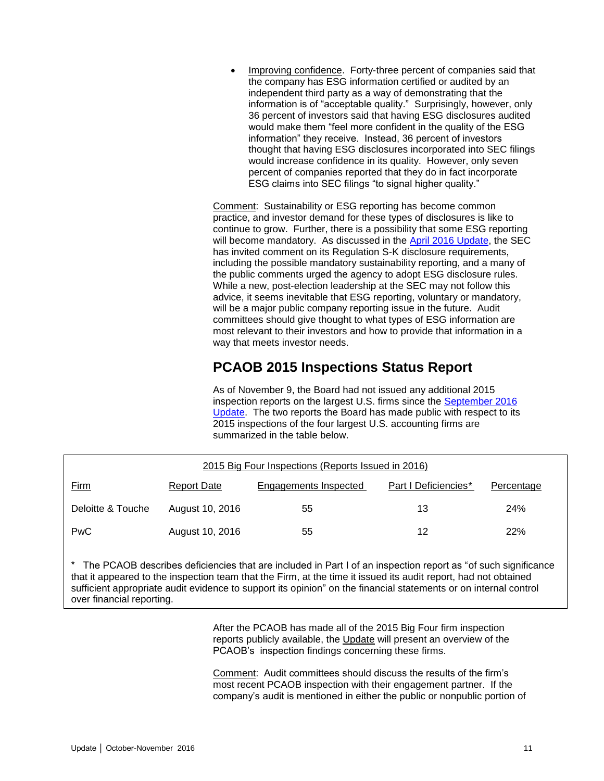Improving confidence. Forty-three percent of companies said that the company has ESG information certified or audited by an independent third party as a way of demonstrating that the information is of "acceptable quality." Surprisingly, however, only 36 percent of investors said that having ESG disclosures audited would make them "feel more confident in the quality of the ESG information" they receive. Instead, 36 percent of investors thought that having ESG disclosures incorporated into SEC filings would increase confidence in its quality. However, only seven percent of companies reported that they do in fact incorporate ESG claims into SEC filings "to signal higher quality."

Comment: Sustainability or ESG reporting has become common practice, and investor demand for these types of disclosures is like to continue to grow. Further, there is a possibility that some ESG reporting will become mandatory. As discussed in the [April 2016 Update,](http://www.bakermckenzie.com/-/media/files/insight/publications/2016/04/audit-committee-and-auditor-oversight-update/nl_na_auditupdate_apr16.pdf?la=en) the SEC has invited comment on its Regulation S-K disclosure requirements, including the possible mandatory sustainability reporting, and a many of the public comments urged the agency to adopt ESG disclosure rules. While a new, post-election leadership at the SEC may not follow this advice, it seems inevitable that ESG reporting, voluntary or mandatory, will be a major public company reporting issue in the future. Audit committees should give thought to what types of ESG information are most relevant to their investors and how to provide that information in a way that meets investor needs.

# **PCAOB 2015 Inspections Status Report**

As of November 9, the Board had not issued any additional 2015 inspection reports on the largest U.S. firms since the [September 2016](http://www.bakermckenzie.com/-/media/files/insight/publications/2016/09/audit-committee-auditor-oversight-update/nl_na_auditupdate_sep16.pdf?la=en)  [Update.](http://www.bakermckenzie.com/-/media/files/insight/publications/2016/09/audit-committee-auditor-oversight-update/nl_na_auditupdate_sep16.pdf?la=en) The two reports the Board has made public with respect to its 2015 inspections of the four largest U.S. accounting firms are summarized in the table below.

<span id="page-10-0"></span>

| 2015 Big Four Inspections (Reports Issued in 2016) |                    |                       |                      |            |
|----------------------------------------------------|--------------------|-----------------------|----------------------|------------|
| <u>Firm</u>                                        | <b>Report Date</b> | Engagements Inspected | Part I Deficiencies* | Percentage |
| Deloitte & Touche                                  | August 10, 2016    | 55                    | 13                   | 24%        |
| <b>PwC</b>                                         | August 10, 2016    | 55                    | 12                   | 22%        |

\* The PCAOB describes deficiencies that are included in Part I of an inspection report as "of such significance that it appeared to the inspection team that the Firm, at the time it issued its audit report, had not obtained sufficient appropriate audit evidence to support its opinion" on the financial statements or on internal control over financial reporting.

> After the PCAOB has made all of the 2015 Big Four firm inspection reports publicly available, the Update will present an overview of the PCAOB's inspection findings concerning these firms.

Comment: Audit committees should discuss the results of the firm's most recent PCAOB inspection with their engagement partner. If the company's audit is mentioned in either the public or nonpublic portion of